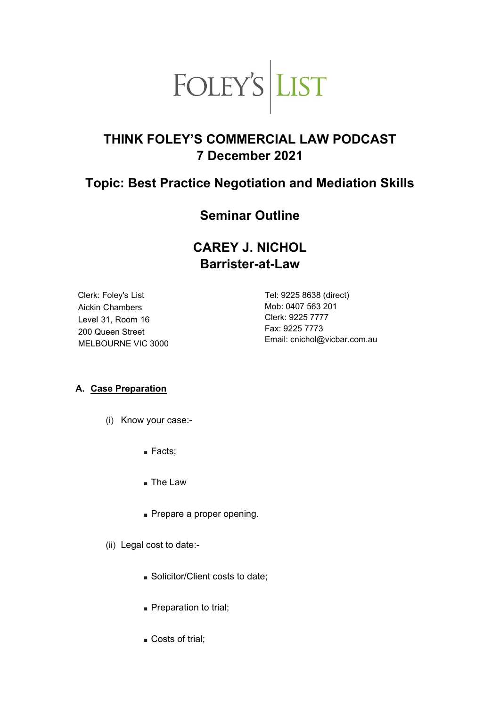

# **THINK FOLEY'S COMMERCIAL LAW PODCAST 7 December 2021**

# **Topic: Best Practice Negotiation and Mediation Skills**

# **Seminar Outline**

# **CAREY J. NICHOL Barrister-at-Law**

Clerk: Foley's List Aickin Chambers Level 31, Room 16 200 Queen Street MELBOURNE VIC 3000 Tel: 9225 8638 (direct) Mob: 0407 563 201 Clerk: 9225 7777 Fax: 9225 7773 Email: cnichol@vicbar.com.au

### **A. Case Preparation**

- (i) Know your case:-
	- Facts;
	- The Law
	- Prepare a proper opening.
- (ii) Legal cost to date:-
	- Solicitor/Client costs to date;
	- Preparation to trial;
	- Costs of trial;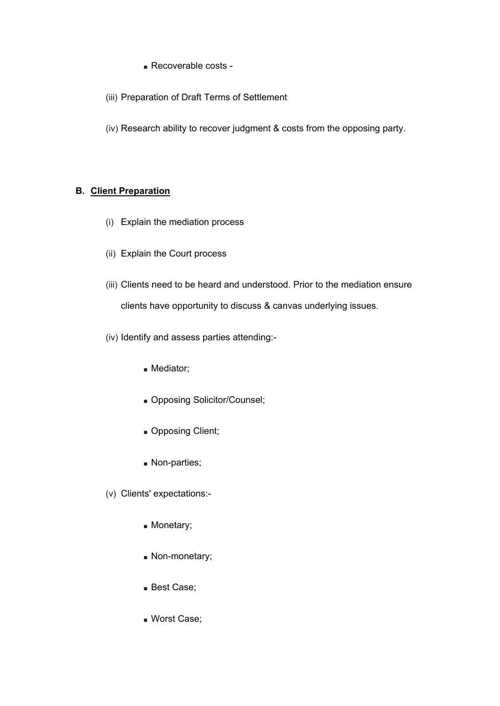- Recoverable costs -
- (iii) Preparation of Draft Terms of Settlement
- (iv) Research ability to recover judgment & costs from the opposing party.

### **B. Client Preparation**

- (i) Explain the mediation process
- (ii) Explain the Court process
- (iii) Clients need to be heard and understood. Prior to the mediation ensure clients have opportunity to discuss & canvas underlying issues.
- (iv) Identify and assess parties attending:-
	- Mediator;
	- Opposing Solicitor/Counsel;
	- Opposing Client;
	- Non-parties;
- (v) Clients' expectations:-
	- Monetary;
	- Non-monetary;
	- Best Case;
	- Worst Case;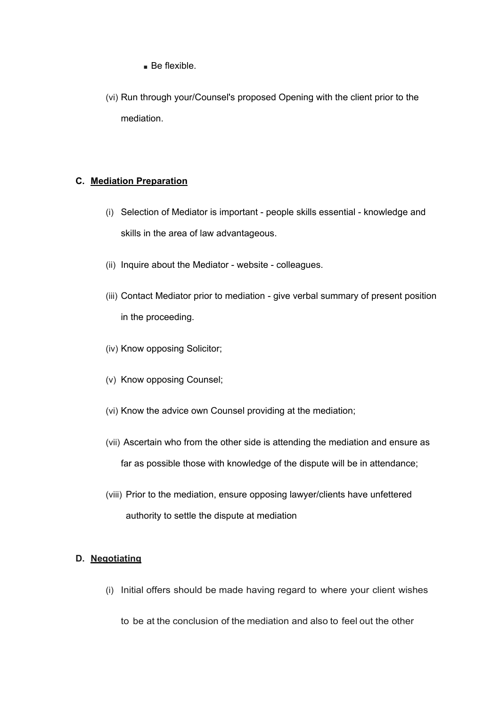- Be flexible.
- (vi) Run through your/Counsel's proposed Opening with the client prior to the mediation.

#### **C. Mediation Preparation**

- (i) Selection of Mediator is important people skills essential knowledge and skills in the area of law advantageous.
- (ii) Inquire about the Mediator website colleagues.
- (iii) Contact Mediator prior to mediation give verbal summary of present position in the proceeding.
- (iv) Know opposing Solicitor;
- (v) Know opposing Counsel;
- (vi) Know the advice own Counsel providing at the mediation;
- (vii) Ascertain who from the other side is attending the mediation and ensure as far as possible those with knowledge of the dispute will be in attendance;
- (viii) Prior to the mediation, ensure opposing lawyer/clients have unfettered authority to settle the dispute at mediation

### **D. Negotiating**

(i) Initial offers should be made having regard to where your client wishes

to be at the conclusion of the mediation and also to feel out the other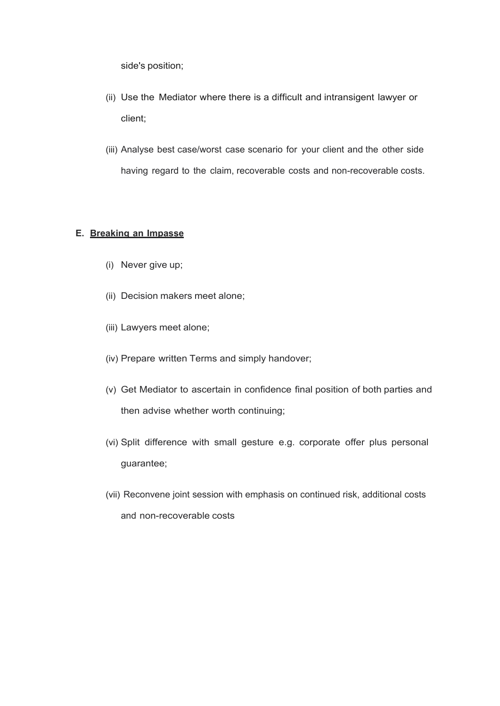side's position;

- (ii) Use the Mediator where there is a difficult and intransigent lawyer or client;
- (iii) Analyse best case/worst case scenario for your client and the other side having regard to the claim, recoverable costs and non-recoverable costs.

#### **E. Breaking an Impasse**

- (i) Never give up;
- (ii) Decision makers meet alone;
- (iii) Lawyers meet alone;
- (iv) Prepare written Terms and simply handover;
- (v) Get Mediator to ascertain in confidence final position of both parties and then advise whether worth continuing;
- (vi) Split difference with small gesture e.g. corporate offer plus personal guarantee;
- (vii) Reconvene joint session with emphasis on continued risk, additional costs and non-recoverable costs